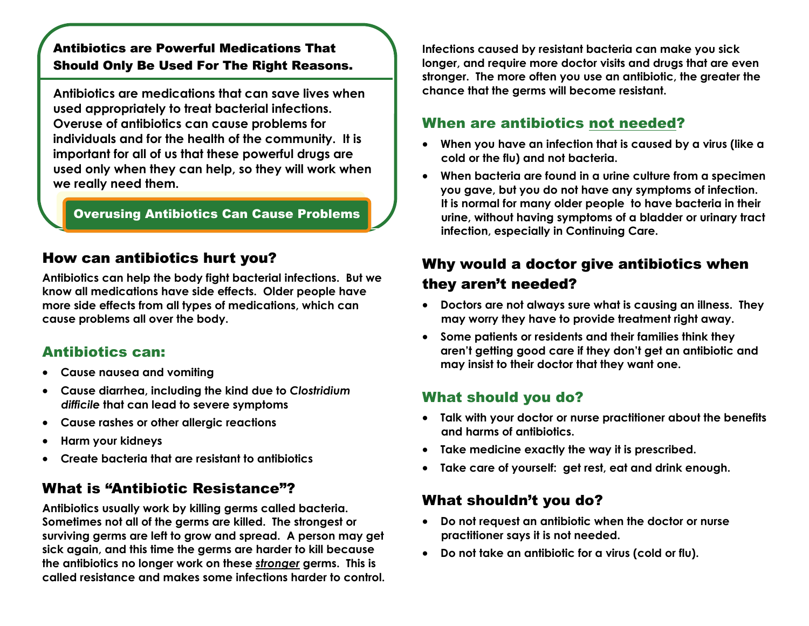#### Antibiotics are Powerful Medications That Should Only Be Used For The Right Reasons.

**Antibiotics are medications that can save lives when used appropriately to treat bacterial infections. Overuse of antibiotics can cause problems for individuals and for the health of the community. It is important for all of us that these powerful drugs are used only when they can help, so they will work when we really need them.** 

#### Overusing Antibiotics Can Cause Problems

# How can antibiotics hurt you?

**Antibiotics can help the body fight bacterial infections. But we know all medications have side effects. Older people have more side effects from all types of medications, which can cause problems all over the body.** 

## Antibiotics can:

- **Cause nausea and vomiting**
- **Cause diarrhea, including the kind due to** *Clostridium difficile* **that can lead to severe symptoms**
- **Cause rashes or other allergic reactions**
- $\bullet$ **Harm your kidneys**
- $\bullet$ **Create bacteria that are resistant to antibiotics**

# What is "Antibiotic Resistance"?

**Antibiotics usually work by killing germs called bacteria. Sometimes not all of the germs are killed. The strongest or surviving germs are left to grow and spread. A person may get sick again, and this time the germs are harder to kill because the antibiotics no longer work on these** *stronger* **germs. This is called resistance and makes some infections harder to control.**  **Infections caused by resistant bacteria can make you sick longer, and require more doctor visits and drugs that are even stronger. The more often you use an antibiotic, the greater the chance that the germs will become resistant.** 

## When are antibiotics not needed?

- **When you have an infection that is caused by a virus (like a cold or the flu) and not bacteria.**
- **When bacteria are found in a urine culture from a specimen you gave, but you do not have any symptoms of infection. It is normal for many older people to have bacteria in their urine, without having symptoms of a bladder or urinary tract infection, especially in Continuing Care.**

# Why would a doctor give antibiotics when they aren't needed?

- **Doctors are not always sure what is causing an illness. They may worry they have to provide treatment right away.**
- **Some patients or residents and their families think they aren't getting good care if they don't get an antibiotic and may insist to their doctor that they want one.**

# What should you do?

- **Talk with your doctor or nurse practitioner about the benefits and harms of antibiotics.**
- **Take medicine exactly the way it is prescribed.**
- **Take care of yourself: get rest, eat and drink enough.**

## What shouldn't you do?

- $\bullet$  **Do not request an antibiotic when the doctor or nurse practitioner says it is not needed.**
- $\bullet$ **Do not take an antibiotic for a virus (cold or flu).**